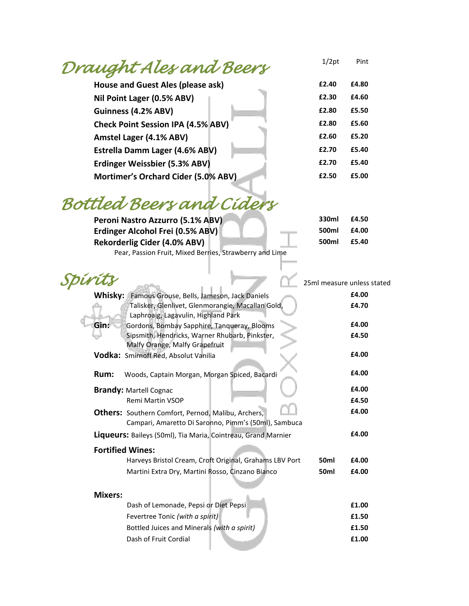## *Draught Ales and Beers*

| £2.40 | £4.80 |
|-------|-------|
| £2.30 | £4.60 |
| £2.80 | £5.50 |
| £2.80 | £5.60 |
| £2.60 | £5.20 |
| £2.70 | £5.40 |
| £2.70 | £5.40 |
| £2.50 | £5.00 |
|       |       |

1/2pt Pint

## *Bottled Beers and Ciders*

| Peroni Nastro Azzurro (5.1% ABV)                        | 330ml | £4.50 |
|---------------------------------------------------------|-------|-------|
| Erdinger Alcohol Frei (0.5% ABV)                        | 500ml | £4.00 |
| <b>Rekorderlig Cider (4.0% ABV)</b>                     | 500ml | £5.40 |
| Pear, Passion Fruit, Mixed Berries, Strawberry and Lime |       |       |

|                                                                                                                   |      | 25ml measure unless stated |
|-------------------------------------------------------------------------------------------------------------------|------|----------------------------|
| Whisky: Famous Grouse, Bells, Jameson, Jack Daniels                                                               |      | £4.00                      |
| Talisker, Glenlivet, Glenmorangie, Macallan Gold,<br>Laphroaig, Lagavulin, Highland Park                          |      | £4.70                      |
| Gin:<br>Gordons, Bombay Sapphire, Tanqueray, Blooms                                                               |      | £4.00                      |
| Sipsmith, Hendricks, Warner Rhubarb, Pinkster,<br>Malfy Orange, Malfy Grapefruit                                  |      | £4.50                      |
| Vodka: Smirnoff Red, Absolut Vanilia                                                                              |      | £4.00                      |
| Rum:<br>Woods, Captain Morgan, Morgan Spiced, Bacardi                                                             |      | £4.00                      |
| <b>Brandy: Martell Cognac</b>                                                                                     |      | £4.00                      |
| <b>Remi Martin VSOP</b>                                                                                           |      | £4.50                      |
| <b>Others:</b> Southern Comfort, Pernod, Malibu, Archers,<br>Campari, Amaretto Di Saronno, Pimm's (50ml), Sambuca |      | £4.00                      |
| <b>Liqueurs:</b> Baileys (50ml), Tia Maria, Cointreau, Grand Marnier                                              |      | £4.00                      |
| <b>Fortified Wines:</b>                                                                                           |      |                            |
| Harveys Bristol Cream, Croft Original, Grahams LBV Port                                                           | 50ml | £4.00                      |
| Martini Extra Dry, Martini Rosso, Cinzano Bianco                                                                  | 50ml | £4.00                      |
| <b>Mixers:</b>                                                                                                    |      |                            |
| Dash of Lemonade, Pepsi or Diet Pepsi                                                                             |      | £1.00                      |
| Fevertree Tonic (with a spirit)                                                                                   |      | £1.50                      |
| Bottled Juices and Minerals (with a spirit)                                                                       |      | £1.50                      |
| Dash of Fruit Cordial                                                                                             |      | £1.00                      |